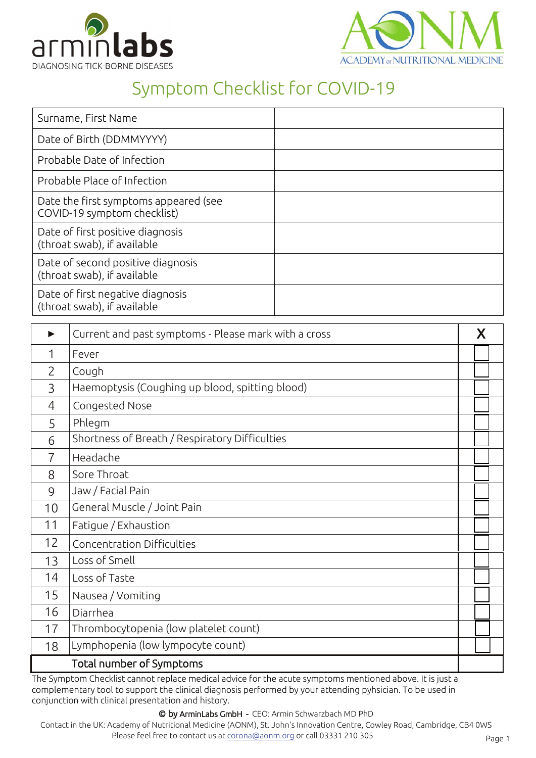



## Symptom Checklist for COVID-19

| Surname, First Name                                                  |  |
|----------------------------------------------------------------------|--|
| Date of Birth (DDMMYYYY)                                             |  |
| Probable Date of Infection                                           |  |
| Probable Place of Infection                                          |  |
| Date the first symptoms appeared (see<br>COVID-19 symptom checklist) |  |
| Date of first positive diagnosis<br>(throat swab), if available      |  |
| Date of second positive diagnosis<br>(throat swab), if available     |  |
| Date of first negative diagnosis<br>(throat swab), if available      |  |

|                | Current and past symptoms - Please mark with a cross | X |  |  |
|----------------|------------------------------------------------------|---|--|--|
| 1              | Fever                                                |   |  |  |
| $\overline{2}$ | Cough                                                |   |  |  |
| 3              | Haemoptysis (Coughing up blood, spitting blood)      |   |  |  |
| 4              | Congested Nose                                       |   |  |  |
| 5              | Phlegm                                               |   |  |  |
| 6              | Shortness of Breath / Respiratory Difficulties       |   |  |  |
| 7              | Headache                                             |   |  |  |
| 8              | Sore Throat                                          |   |  |  |
| 9              | Jaw / Facial Pain                                    |   |  |  |
| 10             | General Muscle / Joint Pain                          |   |  |  |
| 11             | Fatigue / Exhaustion                                 |   |  |  |
| 12             | Concentration Difficulties                           |   |  |  |
| 13             | Loss of Smell                                        |   |  |  |
| 14             | Loss of Taste                                        |   |  |  |
| 15             | Nausea / Vomiting                                    |   |  |  |
| 16             | Diarrhea                                             |   |  |  |
| 17             | Thrombocytopenia (low platelet count)                |   |  |  |
| 18             | Lymphopenia (low lympocyte count)                    |   |  |  |
|                | Total number of Symptoms                             |   |  |  |

The Symptom Checklist cannot replace medical advice for the acute symptoms mentioned above. It is just a complementary tool to support the clinical diagnosis performed by your attending pyhsician. To be used in conjunction with clinical presentation and history.

© by ArminLabs GmbH - CEO: Armin Schwarzbach MD PhD

Contact in the UK: Academy of Nutritional Medicine (AONM), St. John's Innovation Centr[e, Cowley Road, Cambr](http://www.arminlabs.com/)idge, CB4 0WS Plea[se feel free to contact us at](mailto:info@arminlabs.com) corona@aonm.org or call 03331 210 305